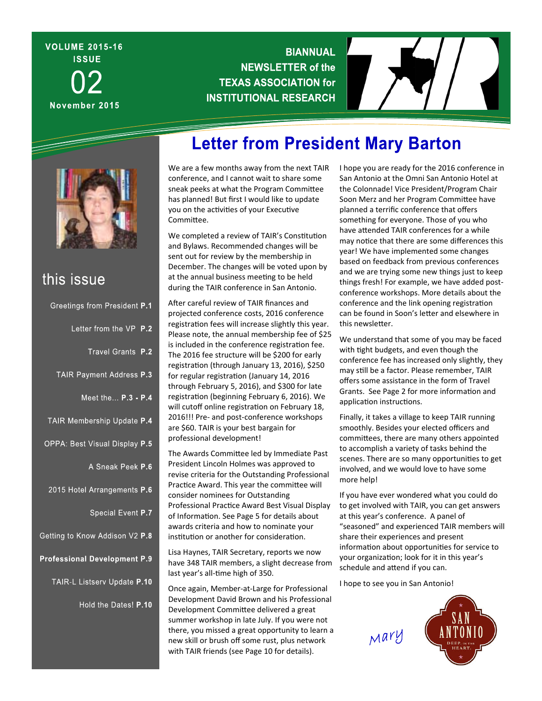# **VOLUME 2015-16 ISSUE** November 2015

## **BIANNUAL NEWSLETTER of the TEXAS ASSOCIATION for INSTITUTIONAL RESEARCH**





# this issue

| Greetings from President P.1   |  |
|--------------------------------|--|
| Letter from the VP P.2         |  |
| Travel Grants P.2              |  |
| TAIR Payment Address P.3       |  |
| Meet the P.3 - P.4             |  |
| TAIR Membership Update P.4     |  |
| OPPA: Best Visual Display P.5  |  |
| A Sneak Peek P.6               |  |
| 2015 Hotel Arrangements P.6    |  |
| Special Event P.7              |  |
| Betting to Know Addison V2 P.8 |  |
| rofessional Development P.9    |  |
| TAIR-L Listserv Update P.10    |  |
| Hold the Dates! P.10           |  |
|                                |  |
|                                |  |

# **Letter from President Mary Barton**

We are a few months away from the next TAIR conference, and I cannot wait to share some sneak peeks at what the Program Committee has planned! But first I would like to update you on the activities of your Executive Committee.

We completed a review of TAIR's Constitution and Bylaws. Recommended changes will be sent out for review by the membership in December. The changes will be voted upon by at the annual business meeting to be held during the TAIR conference in San Antonio.

After careful review of TAIR finances and projected conference costs, 2016 conference registration fees will increase slightly this year. Please note, the annual membership fee of \$25 is included in the conference registration fee. The 2016 fee structure will be \$200 for early registration (through January 13, 2016), \$250 for regular registration (January 14, 2016 through February 5, 2016), and \$300 for late registration (beginning February 6, 2016). We will cutoff online registration on February 18, 2016!!! Pre‐ and post‐conference workshops are \$60. TAIR is your best bargain for professional development!

The Awards Committee led by Immediate Past President Lincoln Holmes was approved to revise criteria for the Outstanding Professional Practice Award. This year the committee will consider nominees for Outstanding Professional Practice Award Best Visual Display of Information. See Page 5 for details about awards criteria and how to nominate your institution or another for consideration.

Lisa Haynes, TAIR Secretary, reports we now have 348 TAIR members, a slight decrease from last year's all-time high of 350.

Once again, Member‐at‐Large for Professional Development David Brown and his Professional Development CommiƩee delivered a great summer workshop in late July. If you were not there, you missed a great opportunity to learn a new skill or brush off some rust, plus network with TAIR friends (see Page 10 for details).

I hope you are ready for the 2016 conference in San Antonio at the Omni San Antonio Hotel at the Colonnade! Vice President/Program Chair Soon Merz and her Program Committee have planned a terrific conference that offers something for everyone. Those of you who have attended TAIR conferences for a while may notice that there are some differences this year! We have implemented some changes based on feedback from previous conferences and we are trying some new things just to keep things fresh! For example, we have added post‐ conference workshops. More details about the conference and the link opening registration can be found in Soon's letter and elsewhere in this newsletter.

We understand that some of you may be faced with tight budgets, and even though the conference fee has increased only slightly, they may still be a factor. Please remember, TAIR offers some assistance in the form of Travel Grants. See Page 2 for more information and application instructions.

Finally, it takes a village to keep TAIR running smoothly. Besides your elected officers and committees, there are many others appointed to accomplish a variety of tasks behind the scenes. There are so many opportunities to get involved, and we would love to have some more help!

If you have ever wondered what you could do to get involved with TAIR, you can get answers at this year's conference. A panel of "seasoned" and experienced TAIR members will share their experiences and present information about opportunities for service to your organization; look for it in this year's schedule and attend if you can.

I hope to see you in San Antonio!

Mary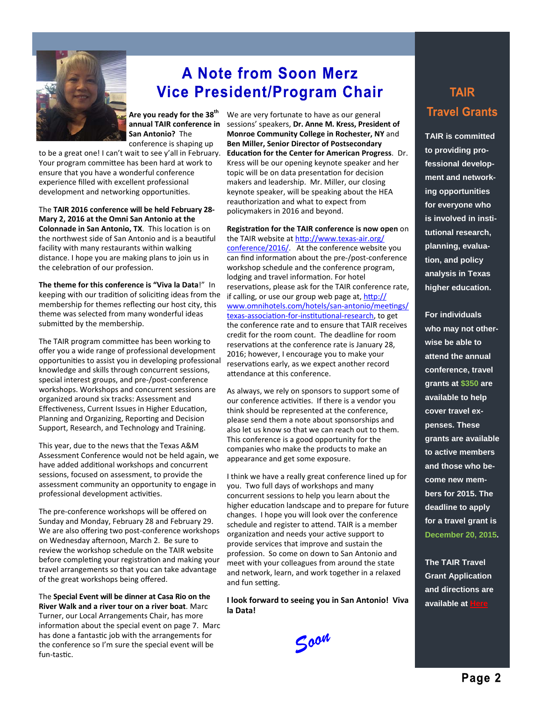

# **A Note from Soon Merz Vice President/Program Chair**

**Are you ready for the 38th annual TAIR conference in San Antonio?** The conference is shaping up

to be a great one! I can't wait to see y'all in February. Your program committee has been hard at work to ensure that you have a wonderful conference experience filled with excellent professional development and networking opportunities.

#### The **TAIR 2016 conference will be held February 28‐ Mary 2, 2016 at the Omni San Antonio at the**

**Colonnade in San Antonio, TX.** This location is on the northwest side of San Antonio and is a beautiful facility with many restaurants within walking distance. I hope you are making plans to join us in the celebration of our profession.

**The theme for this conference is "Viva la Data**!" In keeping with our tradition of soliciting ideas from the membership for themes reflecting our host city, this theme was selected from many wonderful ideas submitted by the membership.

The TAIR program committee has been working to offer you a wide range of professional development opportunities to assist you in developing professional knowledge and skills through concurrent sessions, special interest groups, and pre‐/post‐conference workshops. Workshops and concurrent sessions are organized around six tracks: Assessment and Effectiveness, Current Issues in Higher Education, Planning and Organizing, Reporting and Decision Support, Research, and Technology and Training.

This year, due to the news that the Texas A&M Assessment Conference would not be held again, we have added additional workshops and concurrent sessions, focused on assessment, to provide the assessment community an opportunity to engage in professional development activities.

The pre‐conference workshops will be offered on Sunday and Monday, February 28 and February 29. We are also offering two post-conference workshops on Wednesday afternoon, March 2. Be sure to review the workshop schedule on the TAIR website before completing your registration and making your travel arrangements so that you can take advantage of the great workshops being offered.

#### The **Special Event will be dinner at Casa Rio on the River Walk and a river tour on a river boat**. Marc

Turner, our Local Arrangements Chair, has more information about the special event on page 7. Marc has done a fantastic job with the arrangements for the conference so I'm sure the special event will be fun-tastic.

We are very fortunate to have as our general sessions' speakers, **Dr. Anne M. Kress, President of Monroe Community College in Rochester, NY** and **Ben Miller, Senior Director of Postsecondary EducaƟon for the Center for American Progress**. Dr. Kress will be our opening keynote speaker and her topic will be on data presentation for decision makers and leadership. Mr. Miller, our closing keynote speaker, will be speaking about the HEA reauthorization and what to expect from policymakers in 2016 and beyond.

#### **RegistraƟon for the TAIR conference is now open** on

the TAIR website at http://www.texas-air.org/ conference/2016/. At the conference website you can find information about the pre-/post-conference workshop schedule and the conference program, lodging and travel information. For hotel reservations, please ask for the TAIR conference rate, if calling, or use our group web page at,  $http://$ www.omnihotels.com/hotels/san-antonio/meetings/ texas-association-for-institutional-research, to get the conference rate and to ensure that TAIR receives credit for the room count. The deadline for room reservations at the conference rate is January 28. 2016; however, I encourage you to make your reservations early, as we expect another record attendance at this conference.

As always, we rely on sponsors to support some of our conference activities. If there is a vendor you think should be represented at the conference, please send them a note about sponsorships and also let us know so that we can reach out to them. This conference is a good opportunity for the companies who make the products to make an appearance and get some exposure.

I think we have a really great conference lined up for you. Two full days of workshops and many concurrent sessions to help you learn about the higher education landscape and to prepare for future changes. I hope you will look over the conference schedule and register to attend. TAIR is a member organization and needs your active support to provide services that improve and sustain the profession. So come on down to San Antonio and meet with your colleagues from around the state and network, learn, and work together in a relaxed and fun setting.

**I look forward to seeing you in San Antonio! Viva la Data!** 



## **TAIR Travel Grants**

**TAIR is committed to providing professional development and networking opportunities for everyone who is involved in institutional research, planning, evaluation, and policy analysis in Texas higher education.** 

**For individuals who may not otherwise be able to attend the annual conference, travel grants at \$350 are available to help cover travel expenses. These grants are available to active members and those who become new members for 2015. The deadline to apply for a travel grant is December 20, 2015.** 

**The TAIR Travel Grant Application and directions are available at**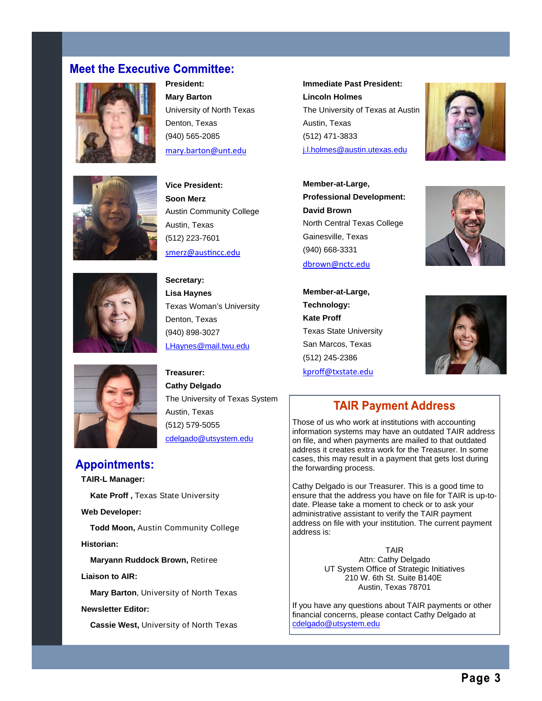### **Meet the Executive Committee:**



**President: Mary Barton**  University of North Texas Denton, Texas (940) 565-2085 mary.barton@unt.edu

**Immediate Past President: Lincoln Holmes**  The University of Texas at Austin Austin, Texas (512) 471-3833



**Vice President:** 



**Soon Merz**  Austin Community College Austin, Texas (512) 223-7601 smerz@ausƟncc.edu

**Secretary: Lisa Haynes**  Texas Woman's University Denton, Texas (940) 898-3027 LHaynes@mail.twu.edu

**Treasurer: Cathy Delgado**  The University of Texas System Austin, Texas (512) 579-5055 cdelgado@utsystem.edu

**Appointments: TAIR-L Manager:** 

 **Kate Proff ,** Texas State University

**Web Developer:** 

 **Todd Moon,** Austin Community College **Historian:** 

 **Maryann Ruddock Brown,** Retiree

**Liaison to AIR:** 

 **Mary Barton**, University of North Texas

#### **Newsletter Editor:**

 **Cassie West,** University of North Texas

j.l.holmes@austin.utexas.edu **Member-at-Large, Professional Development: David Brown**  North Central Texas College



**Member-at-Large, Technology: Kate Proff**  Texas State University San Marcos, Texas (512) 245-2386



#### kproff@txstate.edu

Gainesville, Texas (940) 668-3331 dbrown@nctc.edu

### **TAIR Payment Address**

Those of us who work at institutions with accounting information systems may have an outdated TAIR address on file, and when payments are mailed to that outdated address it creates extra work for the Treasurer. In some cases, this may result in a payment that gets lost during the forwarding process.

Cathy Delgado is our Treasurer. This is a good time to ensure that the address you have on file for TAIR is up-todate. Please take a moment to check or to ask your administrative assistant to verify the TAIR payment address on file with your institution. The current payment address is:

> TAIR Attn: Cathy Delgado UT System Office of Strategic Initiatives 210 W. 6th St. Suite B140E Austin, Texas 78701

If you have any questions about TAIR payments or other financial concerns, please contact Cathy Delgado at cdelgado@utsystem.edu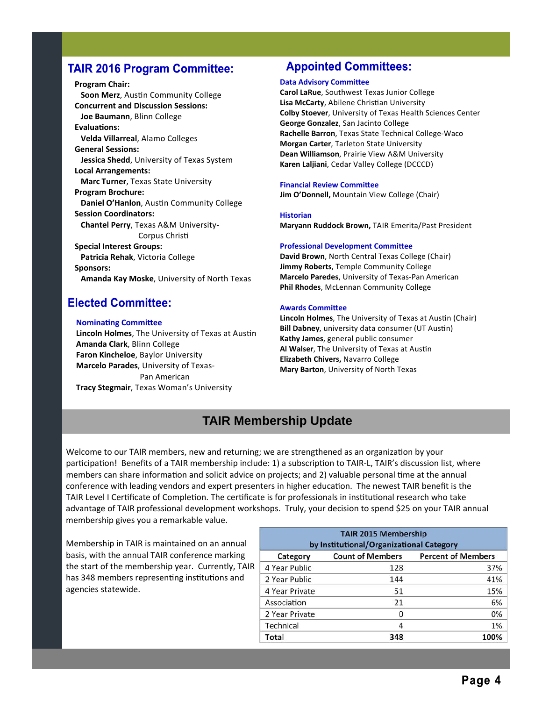### **TAIR 2016 Program Committee:**

**Program Chair: Soon Merz**, Austin Community College **Concurrent and Discussion Sessions: Joe Baumann**, Blinn College **EvaluaƟons: Velda Villarreal**, Alamo Colleges **General Sessions: Jessica Shedd**, University of Texas System **Local Arrangements: Marc Turner**, Texas State University **Program Brochure: Daniel O'Hanlon**, Austin Community College **Session Coordinators: Chantel Perry**, Texas A&M University‐ Corpus Christi **Special Interest Groups: Patricia Rehak**, Victoria College **Sponsors: Amanda Kay Moske**, University of North Texas

### **Elected Committee:**

#### **NominaƟng CommiƩee**

**Lincoln Holmes, The University of Texas at Austin Amanda Clark**, Blinn College **Faron Kincheloe**, Baylor University **Marcelo Parades**, University of Texas‐ Pan American **Tracy Stegmair**, Texas Woman's University

### **Appointed Committees:**

#### **Data Advisory Committee**

**Carol LaRue**, Southwest Texas Junior College **Lisa McCarty, Abilene Christian University Colby Stoever**, University of Texas Health Sciences Center **George Gonzalez**, San Jacinto College **Rachelle Barron**, Texas State Technical College‐Waco **Morgan Carter**, Tarleton State University **Dean Williamson**, Prairie View A&M University **Karen Laljiani**, Cedar Valley College (DCCCD)

#### **Financial Review Committee**

**Jim O'Donnell,** Mountain View College (Chair)

#### **Historian**

**Maryann Ruddock Brown,** TAIR Emerita/Past President

#### **Professional Development Committee**

**David Brown**, North Central Texas College (Chair) **Jimmy Roberts**, Temple Community College **Marcelo Paredes**, University of Texas‐Pan American **Phil Rhodes**, McLennan Community College

#### **Awards CommiƩee**

**Lincoln Holmes**, The University of Texas at Austin (Chair) **Bill Dabney**, university data consumer (UT Austin) **Kathy James**, general public consumer **Al Walser**, The University of Texas at Austin **Elizabeth Chivers,** Navarro College **Mary Barton**, University of North Texas

## **TAIR Membership Update**

Welcome to our TAIR members, new and returning; we are strengthened as an organization by your participation! Benefits of a TAIR membership include: 1) a subscription to TAIR-L, TAIR's discussion list, where members can share information and solicit advice on projects; and 2) valuable personal time at the annual conference with leading vendors and expert presenters in higher education. The newest TAIR benefit is the TAIR Level I Certificate of Completion. The certificate is for professionals in institutional research who take advantage of TAIR professional development workshops. Truly, your decision to spend \$25 on your TAIR annual membership gives you a remarkable value.

Membership in TAIR is maintained on an annual basis, with the annual TAIR conference marking the start of the membership year. Currently, TAIR has 348 members representing institutions and agencies statewide.

| <b>TAIR 2015 Membership</b><br>by Institutional/Organizational Category |                         |                           |
|-------------------------------------------------------------------------|-------------------------|---------------------------|
| Category                                                                | <b>Count of Members</b> | <b>Percent of Members</b> |
| 4 Year Public                                                           | 128                     | 37%                       |
| 2 Year Public                                                           | 144                     | 41%                       |
| 4 Year Private                                                          | 51                      | 15%                       |
| Association                                                             | 21                      | 6%                        |
| 2 Year Private                                                          | 0                       | 0%                        |
| Technical                                                               | 4                       | 1%                        |
| Total                                                                   | 348                     | 100%                      |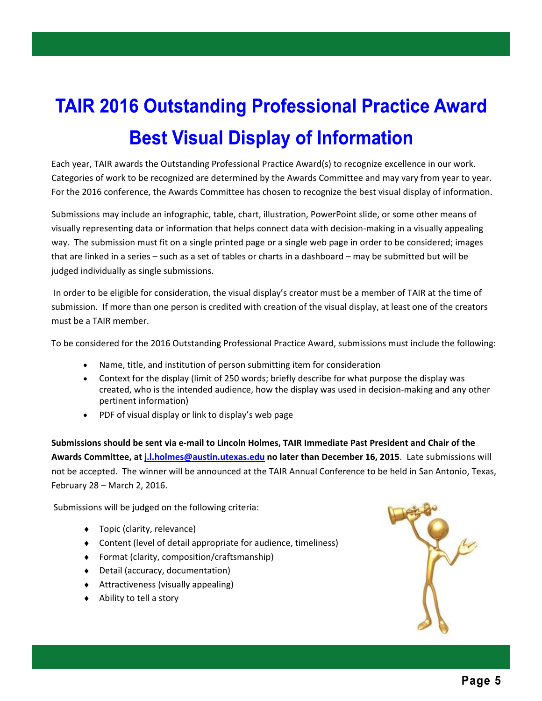# **TAIR 2016 Outstanding Professional Practice Award Best Visual Display of Information**

Each year, TAIR awards the Outstanding Professional Practice Award(s) to recognize excellence in our work. Categories of work to be recognized are determined by the Awards Committee and may vary from year to year. For the 2016 conference, the Awards Committee has chosen to recognize the best visual display of information.

Submissions may include an infographic, table, chart, illustration, PowerPoint slide, or some other means of visually representing data or information that helps connect data with decision‐making in a visually appealing way. The submission must fit on a single printed page or a single web page in order to be considered; images that are linked in a series – such as a set of tables or charts in a dashboard – may be submitted but will be judged individually as single submissions.

 In order to be eligible for consideration, the visual display's creator must be a member of TAIR at the time of submission. If more than one person is credited with creation of the visual display, at least one of the creators must be a TAIR member.

To be considered for the 2016 Outstanding Professional Practice Award, submissions must include the following:

- Name, title, and institution of person submitting item for consideration
- Context for the display (limit of 250 words; briefly describe for what purpose the display was created, who is the intended audience, how the display was used in decision‐making and any other pertinent information)
- PDF of visual display or link to display's web page

**Submissions should be sent via e‐mail to Lincoln Holmes, TAIR Immediate Past President and Chair of the Awards Committee, at j.l.holmes@austin.utexas.edu no later than December 16, 2015**. Late submissions will not be accepted. The winner will be announced at the TAIR Annual Conference to be held in San Antonio, Texas, February 28 – March 2, 2016.

Submissions will be judged on the following criteria:

- ◆ Topic (clarity, relevance)
- Content (level of detail appropriate for audience, timeliness)
- Format (clarity, composition/craftsmanship)
- Detail (accuracy, documentation)
- Attractiveness (visually appealing)
- ◆ Ability to tell a story

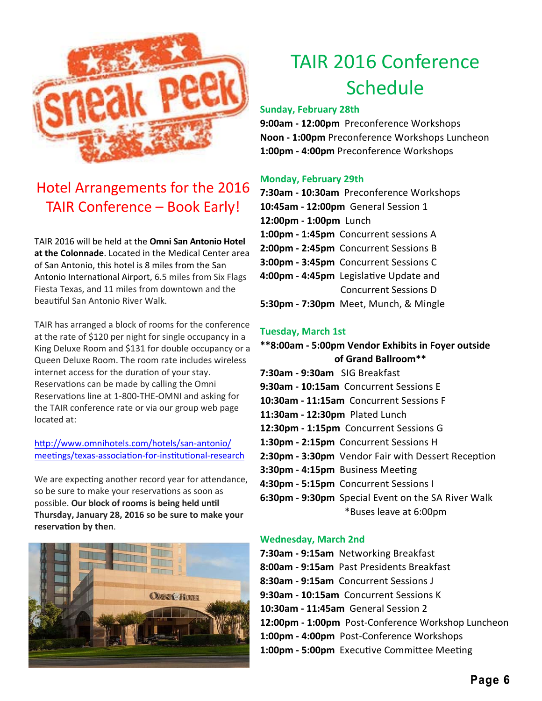

# Hotel Arrangements for the 2016 TAIR Conference – Book Early!

TAIR 2016 will be held at the **Omni San Antonio Hotel at the Colonnade**. Located in the Medical Center area of San Antonio, this hotel is 8 miles from the San Antonio International Airport, 6.5 miles from Six Flags Fiesta Texas, and 11 miles from downtown and the beautiful San Antonio River Walk.

TAIR has arranged a block of rooms for the conference at the rate of \$120 per night for single occupancy in a King Deluxe Room and \$131 for double occupancy or a Queen Deluxe Room. The room rate includes wireless internet access for the duration of your stay. Reservations can be made by calling the Omni Reservations line at 1-800-THE-OMNI and asking for the TAIR conference rate or via our group web page located at:

http://www.omnihotels.com/hotels/san-antonio/ meetings/texas-association-for-institutional-research

We are expecting another record year for attendance, so be sure to make your reservations as soon as possible. Our block of rooms is being held until **Thursday, January 28, 2016 so be sure to make your reservation by then.** 



# TAIR 2016 Conference Schedule

#### **Sunday, February 28th**

**9:00am ‐ 12:00pm** Preconference Workshops **Noon ‐ 1:00pm** Preconference Workshops Luncheon **1:00pm ‐ 4:00pm** Preconference Workshops

#### **Monday, February 29th**

- **7:30am ‐ 10:30am** Preconference Workshops **10:45am ‐ 12:00pm** General Session 1 **12:00pm ‐ 1:00pm** Lunch **1:00pm ‐ 1:45pm** Concurrent sessions A **2:00pm ‐ 2:45pm** Concurrent Sessions B **3:00pm ‐ 3:45pm** Concurrent Sessions C **4:00pm ‐ 4:45pm** LegislaƟve Update and Concurrent Sessions D
- **5:30pm ‐ 7:30pm** Meet, Munch, & Mingle

#### **Tuesday, March 1st**

- **\*\*8:00am ‐ 5:00pm Vendor Exhibits in Foyer outside of Grand Ballroom\*\***
- **7:30am ‐ 9:30am** SIG Breakfast
- **9:30am ‐ 10:15am** Concurrent Sessions E
- **10:30am ‐ 11:15am** Concurrent Sessions F
- **11:30am ‐ 12:30pm** Plated Lunch
- **12:30pm ‐ 1:15pm** Concurrent Sessions G
- **1:30pm ‐ 2:15pm** Concurrent Sessions H
- **2:30pm 3:30pm** Vendor Fair with Dessert Reception
- **3:30pm 4:15pm** Business Meeting
- **4:30pm ‐ 5:15pm** Concurrent Sessions I
- **6:30pm ‐ 9:30pm** Special Event on the SA River Walk \*Buses leave at 6:00pm

#### **Wednesday, March 2nd**

- **7:30am ‐ 9:15am** Networking Breakfast
- **8:00am ‐ 9:15am** Past Presidents Breakfast
- **8:30am ‐ 9:15am** Concurrent Sessions J
- **9:30am ‐ 10:15am** Concurrent Sessions K
- **10:30am ‐ 11:45am** General Session 2
- **12:00pm ‐ 1:00pm** Post‐Conference Workshop Luncheon
- **1:00pm ‐ 4:00pm** Post‐Conference Workshops
- **1:00pm 5:00pm** Executive Committee Meeting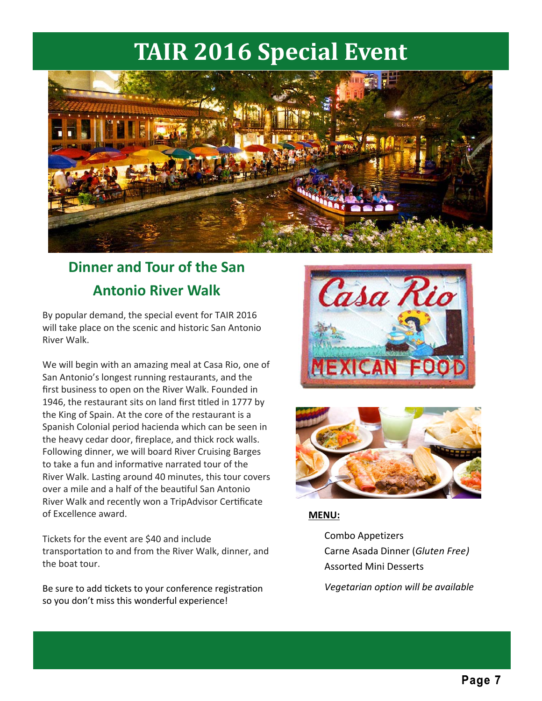# **TAIR 2016 Special Event**



# **Dinner and Tour of the San Antonio River Walk**

By popular demand, the special event for TAIR 2016 will take place on the scenic and historic San Antonio River Walk.

We will begin with an amazing meal at Casa Rio, one of San Antonio's longest running restaurants, and the first business to open on the River Walk. Founded in 1946, the restaurant sits on land first titled in 1777 by the King of Spain. At the core of the restaurant is a Spanish Colonial period hacienda which can be seen in the heavy cedar door, fireplace, and thick rock walls. Following dinner, we will board River Cruising Barges to take a fun and informative narrated tour of the River Walk. Lasting around 40 minutes, this tour covers over a mile and a half of the beautiful San Antonio River Walk and recently won a TripAdvisor Certificate of Excellence award.

Tickets for the event are \$40 and include transportation to and from the River Walk, dinner, and the boat tour.

Be sure to add tickets to your conference registration so you don't miss this wonderful experience!





### **MENU:**

Combo Appetizers Carne Asada Dinner (*Gluten Free)* Assorted Mini Desserts

*Vegetarian option will be available*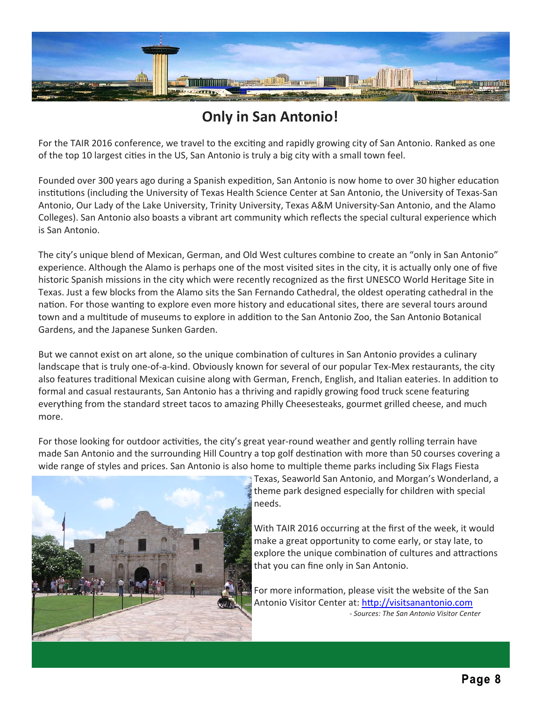

# **Only in San Antonio!**

For the TAIR 2016 conference, we travel to the exciting and rapidly growing city of San Antonio. Ranked as one of the top 10 largest cities in the US, San Antonio is truly a big city with a small town feel.

Founded over 300 years ago during a Spanish expedition, San Antonio is now home to over 30 higher education institutions (including the University of Texas Health Science Center at San Antonio, the University of Texas-San Antonio, Our Lady of the Lake University, Trinity University, Texas A&M University‐San Antonio, and the Alamo Colleges). San Antonio also boasts a vibrant art community which reflects the special cultural experience which is San Antonio.

The city's unique blend of Mexican, German, and Old West cultures combine to create an "only in San Antonio" experience. Although the Alamo is perhaps one of the most visited sites in the city, it is actually only one of five historic Spanish missions in the city which were recently recognized as the first UNESCO World Heritage Site in Texas. Just a few blocks from the Alamo sits the San Fernando Cathedral, the oldest operating cathedral in the nation. For those wanting to explore even more history and educational sites, there are several tours around town and a multitude of museums to explore in addition to the San Antonio Zoo, the San Antonio Botanical Gardens, and the Japanese Sunken Garden.

But we cannot exist on art alone, so the unique combination of cultures in San Antonio provides a culinary landscape that is truly one-of-a-kind. Obviously known for several of our popular Tex-Mex restaurants, the city also features traditional Mexican cuisine along with German, French, English, and Italian eateries. In addition to formal and casual restaurants, San Antonio has a thriving and rapidly growing food truck scene featuring everything from the standard street tacos to amazing Philly Cheesesteaks, gourmet grilled cheese, and much more.

For those looking for outdoor activities, the city's great year-round weather and gently rolling terrain have made San Antonio and the surrounding Hill Country a top golf destination with more than 50 courses covering a wide range of styles and prices. San Antonio is also home to multiple theme parks including Six Flags Fiesta



Texas, Seaworld San Antonio, and Morgan's Wonderland, a theme park designed especially for children with special needs.

With TAIR 2016 occurring at the first of the week, it would make a great opportunity to come early, or stay late, to explore the unique combination of cultures and attractions that you can fine only in San Antonio.

For more information, please visit the website of the San Antonio Visitor Center at: http://visitsanantonio.com  *‐ Sources: The San Antonio Visitor Center*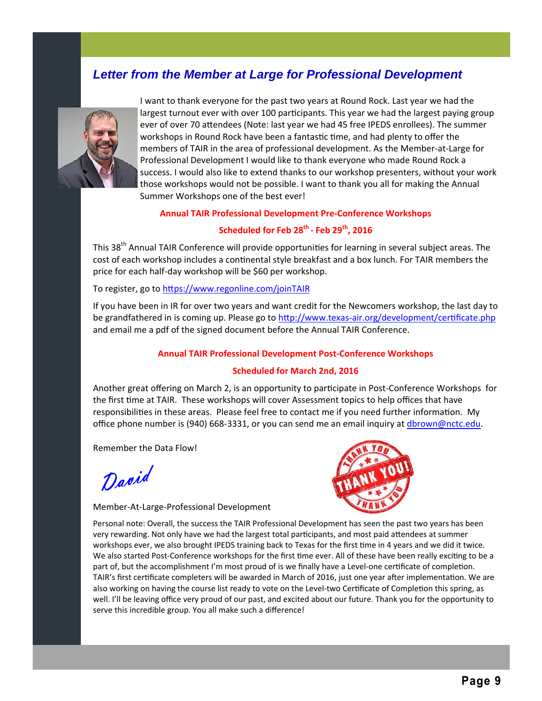## *Letter from the Member at Large for Professional Development*



I want to thank everyone for the past two years at Round Rock. Last year we had the largest turnout ever with over 100 participants. This year we had the largest paying group ever of over 70 attendees (Note: last year we had 45 free IPEDS enrollees). The summer workshops in Round Rock have been a fantastic time, and had plenty to offer the members of TAIR in the area of professional development. As the Member‐at‐Large for Professional Development I would like to thank everyone who made Round Rock a success. I would also like to extend thanks to our workshop presenters, without your work those workshops would not be possible. I want to thank you all for making the Annual Summer Workshops one of the best ever!

#### **Annual TAIR Professional Development Pre‐Conference Workshops**

### **Scheduled for Feb 28th ‐ Feb 29th, 2016**

This 38<sup>th</sup> Annual TAIR Conference will provide opportunities for learning in several subject areas. The cost of each workshop includes a continental style breakfast and a box lunch. For TAIR members the price for each half‐day workshop will be \$60 per workshop.

To register, go to https://www.regonline.com/joinTAIR

If you have been in IR for over two years and want credit for the Newcomers workshop, the last day to be grandfathered in is coming up. Please go to http://www.texas-air.org/development/certificate.php and email me a pdf of the signed document before the Annual TAIR Conference.

#### **Annual TAIR Professional Development Post‐Conference Workshops**

#### **Scheduled for March 2nd, 2016**

Another great offering on March 2, is an opportunity to participate in Post-Conference Workshops for the first time at TAIR. These workshops will cover Assessment topics to help offices that have responsibilities in these areas. Please feel free to contact me if you need further information. My office phone number is (940) 668-3331, or you can send me an email inquiry at dbrown@nctc.edu.

Remember the Data Flow!

David

Member‐At‐Large‐Professional Development

Personal note: Overall, the success the TAIR Professional Development has seen the past two years has been very rewarding. Not only have we had the largest total participants, and most paid attendees at summer workshops ever, we also brought IPEDS training back to Texas for the first time in 4 years and we did it twice. We also started Post-Conference workshops for the first time ever. All of these have been really exciting to be a part of, but the accomplishment I'm most proud of is we finally have a Level-one certificate of completion. TAIR's first certificate completers will be awarded in March of 2016, just one year after implementation. We are also working on having the course list ready to vote on the Level-two Certificate of Completion this spring, as well. I'll be leaving office very proud of our past, and excited about our future. Thank you for the opportunity to serve this incredible group. You all make such a difference!